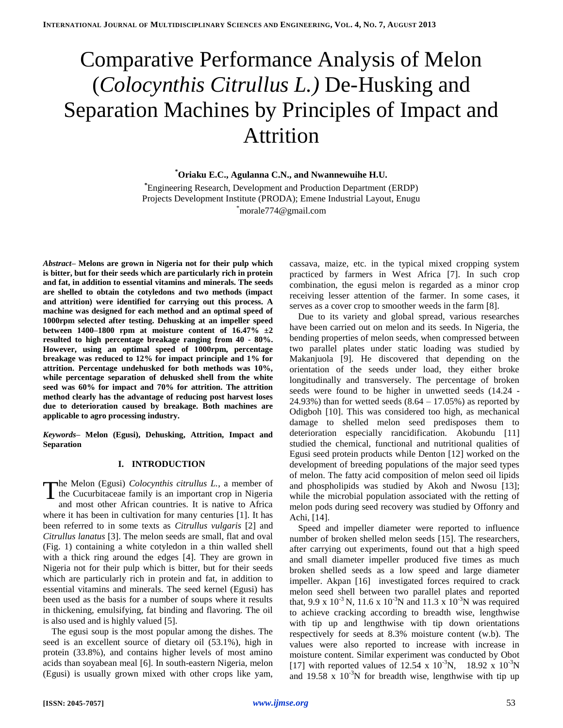# Comparative Performance Analysis of Melon (*Colocynthis Citrullus L.)* De-Husking and Separation Machines by Principles of Impact and Attrition

**\*Oriaku E.C., Agulanna C.N., and Nwannewuihe H.U.**

**\***Engineering Research, Development and Production Department (ERDP) Projects Development Institute (PRODA); Emene Industrial Layout, Enugu \*morale774@gmail.com

*Abstract–* **Melons are grown in Nigeria not for their pulp which is bitter, but for their seeds which are particularly rich in protein and fat, in addition to essential vitamins and minerals. The seeds are shelled to obtain the cotyledons and two methods (impact and attrition) were identified for carrying out this process. A machine was designed for each method and an optimal speed of 1000rpm selected after testing. Dehusking at an impeller speed between 1400–1800 rpm at moisture content of 16.47% ±2 resulted to high percentage breakage ranging from 40 - 80%. However, using an optimal speed of 1000rpm, percentage breakage was reduced to 12% for impact principle and 1% for attrition. Percentage undehusked for both methods was 10%, while percentage separation of dehusked shell from the white seed was 60% for impact and 70% for attrition. The attrition method clearly has the advantage of reducing post harvest loses due to deterioration caused by breakage. Both machines are applicable to agro processing industry.**

*Keywords–* **Melon (Egusi), Dehusking, Attrition, Impact and Separation**

### **I. INTRODUCTION**

The Melon (Egusi) *Colocynthis citrullus L.*, a member of the Cucurbitaceae family is an important crop in Nigeria the Cucurbitaceae family is an important crop in Nigeria and most other African countries. It is native to Africa where it has been in cultivation for many centuries [1]. It has been referred to in some texts as *Citrullus vulgaris* [2] and *Citrullus lanatus* [3]. The melon seeds are small, flat and oval (Fig. 1) containing a white cotyledon in a thin walled shell with a thick ring around the edges [4]. They are grown in Nigeria not for their pulp which is bitter, but for their seeds which are particularly rich in protein and fat, in addition to essential vitamins and minerals. The seed kernel (Egusi) has been used as the basis for a number of soups where it results in thickening, emulsifying, fat binding and flavoring. The oil is also used and is highly valued [5].

The egusi soup is the most popular among the dishes. The seed is an excellent source of dietary oil (53.1%), high in protein (33.8%), and contains higher levels of most amino acids than soyabean meal [6]. In south-eastern Nigeria, melon (Egusi) is usually grown mixed with other crops like yam, cassava, maize, etc. in the typical mixed cropping system practiced by farmers in West Africa [7]. In such crop combination, the egusi melon is regarded as a minor crop receiving lesser attention of the farmer. In some cases, it serves as a cover crop to smoother weeds in the farm [8].

Due to its variety and global spread, various researches have been carried out on melon and its seeds. In Nigeria, the bending properties of melon seeds, when compressed between two parallel plates under static loading was studied by Makanjuola [9]. He discovered that depending on the orientation of the seeds under load, they either broke longitudinally and transversely. The percentage of broken seeds were found to be higher in unwetted seeds (14.24 - 24.93%) than for wetted seeds  $(8.64 - 17.05%)$  as reported by Odigboh [10]. This was considered too high, as mechanical damage to shelled melon seed predisposes them to deterioration especially rancidification. Akobundu [11] studied the chemical, functional and nutritional qualities of Egusi seed protein products while Denton [12] worked on the development of breeding populations of the major seed types of melon. The fatty acid composition of melon seed oil lipids and phospholipids was studied by Akoh and Nwosu [13]; while the microbial population associated with the retting of melon pods during seed recovery was studied by Offonry and Achi, [14].

Speed and impeller diameter were reported to influence number of broken shelled melon seeds [15]. The researchers, after carrying out experiments, found out that a high speed and small diameter impeller produced five times as much broken shelled seeds as a low speed and large diameter impeller. Akpan [16] investigated forces required to crack melon seed shell between two parallel plates and reported that, 9.9 x  $10^{-3}$  N, 11.6 x  $10^{-3}$ N and 11.3 x  $10^{-3}$ N was required to achieve cracking according to breadth wise, lengthwise with tip up and lengthwise with tip down orientations respectively for seeds at 8.3% moisture content (w.b). The values were also reported to increase with increase in moisture content. Similar experiment was conducted by Obot [17] with reported values of 12.54 x  $10^{-3}$ N, 18.92 x  $10^{-3}$ N and 19.58 x  $10^{-3}$ N for breadth wise, lengthwise with tip up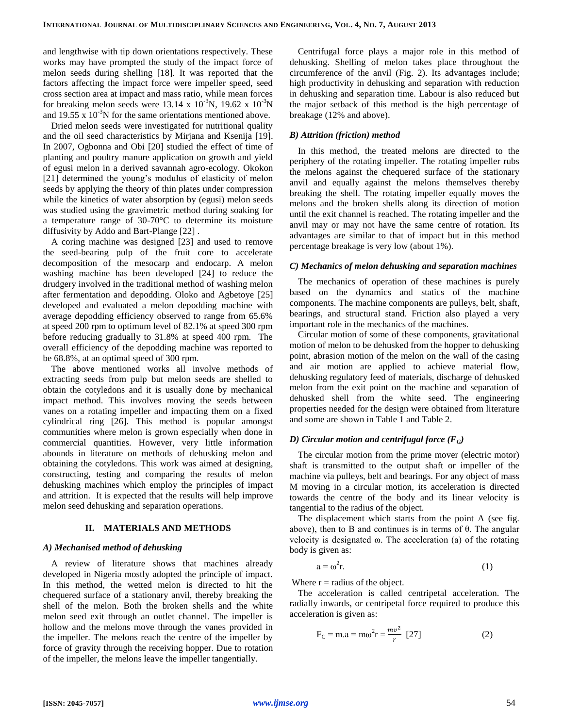and lengthwise with tip down orientations respectively. These works may have prompted the study of the impact force of melon seeds during shelling [18]. It was reported that the factors affecting the impact force were impeller speed, seed cross section area at impact and mass ratio, while mean forces for breaking melon seeds were 13.14 x  $10^{-3}$ N, 19.62 x  $10^{-3}$ N and  $19.55 \times 10^{-3}$ N for the same orientations mentioned above.

Dried melon seeds were investigated for nutritional quality and the oil seed characteristics by Mirjana and Ksenija [19]. In 2007, Ogbonna and Obi [20] studied the effect of time of planting and poultry manure application on growth and yield of egusi melon in a derived savannah agro-ecology. Okokon [21] determined the young's modulus of elasticity of melon seeds by applying the theory of thin plates under compression while the kinetics of water absorption by (egusi) melon seeds was studied using the gravimetric method during soaking for a temperature range of 30-70°C to determine its moisture diffusivity by Addo and Bart-Plange [22] .

A coring machine was designed [23] and used to remove the seed-bearing pulp of the fruit core to accelerate decomposition of the mesocarp and endocarp. A melon washing machine has been developed [24] to reduce the drudgery involved in the traditional method of washing melon after fermentation and depodding. Oloko and Agbetoye [25] developed and evaluated a melon depodding machine with average depodding efficiency observed to range from 65.6% at speed 200 rpm to optimum level of 82.1% at speed 300 rpm before reducing gradually to 31.8% at speed 400 rpm. The overall efficiency of the depodding machine was reported to be 68.8%, at an optimal speed of 300 rpm.

The above mentioned works all involve methods of extracting seeds from pulp but melon seeds are shelled to obtain the cotyledons and it is usually done by mechanical impact method. This involves moving the seeds between vanes on a rotating impeller and impacting them on a fixed cylindrical ring [26]. This method is popular amongst communities where melon is grown especially when done in commercial quantities. However, very little information abounds in literature on methods of dehusking melon and obtaining the cotyledons. This work was aimed at designing, constructing, testing and comparing the results of melon dehusking machines which employ the principles of impact and attrition. It is expected that the results will help improve melon seed dehusking and separation operations.

#### **II. MATERIALS AND METHODS**

#### *A) Mechanised method of dehusking*

A review of literature shows that machines already developed in Nigeria mostly adopted the principle of impact. In this method, the wetted melon is directed to hit the chequered surface of a stationary anvil, thereby breaking the shell of the melon. Both the broken shells and the white melon seed exit through an outlet channel. The impeller is hollow and the melons move through the vanes provided in the impeller. The melons reach the centre of the impeller by force of gravity through the receiving hopper. Due to rotation of the impeller, the melons leave the impeller tangentially.

Centrifugal force plays a major role in this method of dehusking. Shelling of melon takes place throughout the circumference of the anvil (Fig. 2). Its advantages include; high productivity in dehusking and separation with reduction in dehusking and separation time. Labour is also reduced but the major setback of this method is the high percentage of breakage (12% and above).

#### *B) Attrition (friction) method*

In this method, the treated melons are directed to the periphery of the rotating impeller. The rotating impeller rubs the melons against the chequered surface of the stationary anvil and equally against the melons themselves thereby breaking the shell. The rotating impeller equally moves the melons and the broken shells along its direction of motion until the exit channel is reached. The rotating impeller and the anvil may or may not have the same centre of rotation. Its advantages are similar to that of impact but in this method percentage breakage is very low (about 1%).

#### *C) Mechanics of melon dehusking and separation machines*

The mechanics of operation of these machines is purely based on the dynamics and statics of the machine components. The machine components are pulleys, belt, shaft, bearings, and structural stand. Friction also played a very important role in the mechanics of the machines.

Circular motion of some of these components, gravitational motion of melon to be dehusked from the hopper to dehusking point, abrasion motion of the melon on the wall of the casing and air motion are applied to achieve material flow, dehusking regulatory feed of materials, discharge of dehusked melon from the exit point on the machine and separation of dehusked shell from the white seed. The engineering properties needed for the design were obtained from literature and some are shown in Table 1 and Table 2.

## *D)* Circular motion and centrifugal force  $(F_G)$

The circular motion from the prime mover (electric motor) shaft is transmitted to the output shaft or impeller of the machine via pulleys, belt and bearings. For any object of mass M moving in a circular motion, its acceleration is directed towards the centre of the body and its linear velocity is tangential to the radius of the object.

The displacement which starts from the point A (see fig. above), then to B and continues is in terms of θ. The angular velocity is designated  $\omega$ . The acceleration (a) of the rotating body is given as:

$$
a = \omega^2 r. \tag{1}
$$

Where  $r =$  radius of the object.

The acceleration is called centripetal acceleration. The radially inwards, or centripetal force required to produce this acceleration is given as:

$$
F_C = m.a = m\omega^2 r = \frac{mv^2}{r} [27]
$$
 (2)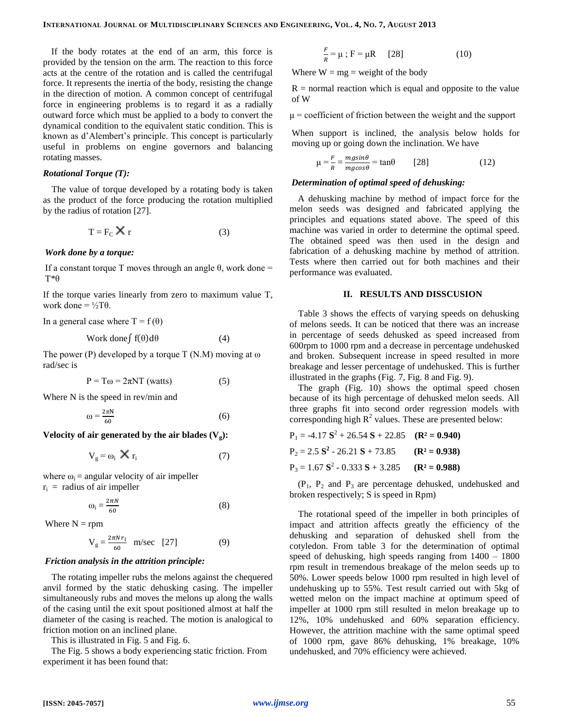If the body rotates at the end of an arm, this force is provided by the tension on the arm. The reaction to this force acts at the centre of the rotation and is called the centrifugal force. It represents the inertia of the body, resisting the change in the direction of motion. A common concept of centrifugal force in engineering problems is to regard it as a radially outward force which must be applied to a body to convert the dynamical condition to the equivalent static condition. This is known as d'Alembert's principle. This concept is particularly useful in problems on engine governors and balancing rotating masses.

#### *Rotational Torque (T):*

The value of torque developed by a rotating body is taken as the product of the force producing the rotation multiplied by the radius of rotation [27].

$$
T = F_C \mathbf{X} r \tag{3}
$$

#### *Work done by a torque:*

If a constant torque T moves through an angle  $\theta$ , work done = T\*θ

If the torque varies linearly from zero to maximum value T, work done  $= \frac{1}{2}T\theta$ .

In a general case where  $T = f(\theta)$ 

$$
Work done \int f(\theta) d\theta \tag{4}
$$

The power (P) developed by a torque  $T(N.M)$  moving at  $\omega$ rad/sec is

$$
P = T\omega = 2\pi NT \text{ (watts)} \tag{5}
$$

Where N is the speed in rev/min and

$$
\omega = \frac{2\pi N}{60} \tag{6}
$$

**Velocity of air generated by the air blades**  $(V_g)$ **:** 

$$
V_g = \omega_i \times r_i \tag{7}
$$

where  $\omega_i$  = angular velocity of air impeller  $r_i$  = radius of air impeller

$$
\omega_{\rm i} = \frac{2\pi N}{60} \tag{8}
$$

Where  $N =$ rpm

$$
V_g = \frac{2\pi N r_i}{60} \quad m/sec \quad [27]
$$
 (9)

#### *Friction analysis in the attrition principle:*

The rotating impeller rubs the melons against the chequered anvil formed by the static dehusking casing. The impeller simultaneously rubs and moves the melons up along the walls of the casing until the exit spout positioned almost at half the diameter of the casing is reached. The motion is analogical to friction motion on an inclined plane.

This is illustrated in Fig. 5 and Fig. 6.

The Fig. 5 shows a body experiencing static friction. From experiment it has been found that:

$$
\frac{F}{R} = \mu \; ; \; F = \mu R \qquad [28]
$$
 (10)

Where  $W = mg = weight of the body$ 

 $R =$  normal reaction which is equal and opposite to the value of W

 $\mu$  = coefficient of friction between the weight and the support

When support is inclined, the analysis below holds for moving up or going down the inclination. We have

$$
\mu = \frac{F}{R} = \frac{mg\sin\theta}{mg\cos\theta} = \tan\theta \qquad [28]
$$
 (12)

## *Determination of optimal speed of dehusking:*

A dehusking machine by method of impact force for the melon seeds was designed and fabricated applying the principles and equations stated above. The speed of this machine was varied in order to determine the optimal speed. The obtained speed was then used in the design and fabrication of a dehusking machine by method of attrition. Tests where then carried out for both machines and their performance was evaluated.

### **II. RESULTS AND DISSCUSION**

Table 3 shows the effects of varying speeds on dehusking of melons seeds. It can be noticed that there was an increase in percentage of seeds dehusked as speed increased from 600rpm to 1000 rpm and a decrease in percentage undehusked and broken. Subsequent increase in speed resulted in more breakage and lesser percentage of undehusked. This is further illustrated in the graphs (Fig. 7, Fig. 8 and Fig. 9).

The graph (Fig. 10) shows the optimal speed chosen because of its high percentage of dehusked melon seeds. All three graphs fit into second order regression models with corresponding high  $R^2$  values. These are presented below:

$$
P_1 = -4.17 S^2 + 26.54 S + 22.85 \t (R^2 = 0.940)
$$
  
\n
$$
P_2 = 2.5 S^2 - 26.21 S + 73.85 \t (R^2 = 0.938)
$$
  
\n
$$
P_3 = 1.67 S^2 - 0.333 S + 3.285 \t (R^2 = 0.988)
$$

 $(P_1, P_2, P_3)$  and  $P_3$  are percentage dehusked, undehusked and broken respectively; S is speed in Rpm)

The rotational speed of the impeller in both principles of impact and attrition affects greatly the efficiency of the dehusking and separation of dehusked shell from the cotyledon. From table 3 for the determination of optimal speed of dehusking, high speeds ranging from 1400 – 1800 rpm result in tremendous breakage of the melon seeds up to 50%. Lower speeds below 1000 rpm resulted in high level of undehusking up to 55%. Test result carried out with 5kg of wetted melon on the impact machine at optimum speed of impeller at 1000 rpm still resulted in melon breakage up to 12%, 10% undehusked and 60% separation efficiency. However, the attrition machine with the same optimal speed of 1000 rpm, gave 86% dehusking, 1% breakage, 10% undehusked, and 70% efficiency were achieved.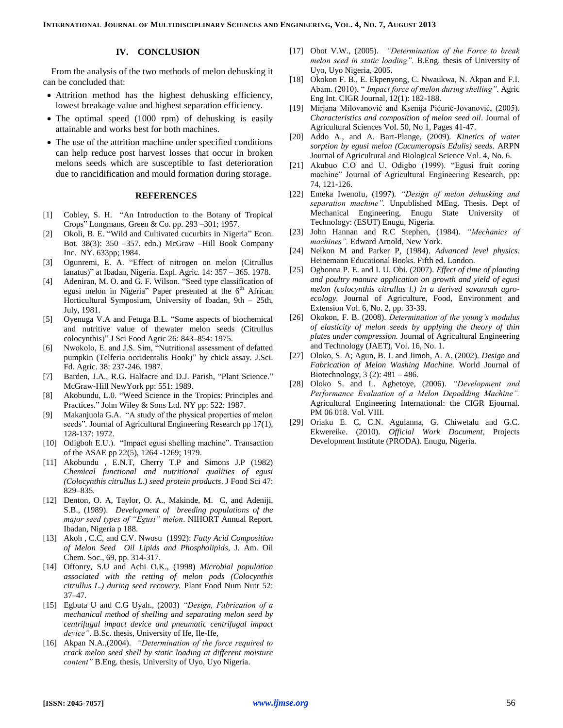## **IV. CONCLUSION**

From the analysis of the two methods of melon dehusking it can be concluded that:

- Attrition method has the highest dehusking efficiency, lowest breakage value and highest separation efficiency.
- The optimal speed (1000 rpm) of dehusking is easily attainable and works best for both machines.
- The use of the attrition machine under specified conditions can help reduce post harvest losses that occur in broken melons seeds which are susceptible to fast deterioration due to rancidification and mould formation during storage.

#### **REFERENCES**

- [1] Cobley, S. H. "An Introduction to the Botany of Tropical Crops" Longmans, Green & Co. pp. 293 –301; 1957.
- [2] Okoli, B. E. "Wild and Cultivated cucurbits in Nigeria" Econ. Bot. 38(3): 350 –357. edn.) McGraw –Hill Book Company Inc. NY. 633pp; 1984.
- [3] Ogunremi, E. A. "Effect of nitrogen on melon (Citrullus lanatus)" at Ibadan, Nigeria. Expl. Agric. 14: 357 – 365. 1978.
- [4] Adeniran, M. O. and G. F. Wilson. "Seed type classification of egusi melon in Nigeria" Paper presented at the  $6<sup>th</sup>$  African Horticultural Symposium, University of Ibadan, 9th – 25th, July, 1981.
- [5] Oyenuga V.A and Fetuga B.L. "Some aspects of biochemical and nutritive value of thewater melon seeds (Citrullus colocynthis)" J Sci Food Agric 26: 843–854: 1975.
- [6] Nwokolo, E. and J.S. Sim, "Nutritional assessment of defatted pumpkin (Telferia occidentalis Hook)" by chick assay. J.Sci. Fd. Agric. 38: 237-246. 1987.
- [7] Barden, J.A., R.G. Halfacre and D.J. Parish, "Plant Science." McGraw-Hill NewYork pp: 551: 1989.
- [8] Akobundu, L.0. "Weed Science in the Tropics: Principles and Practices." John Wiley & Sons Ltd. NY pp: 522: 1987.
- [9] Makanjuola G.A. "A study of the physical properties of melon seeds"*.* Journal of Agricultural Engineering Research pp 17(1), 128-137: 1972.
- [10] Odigboh E.U.). "Impact egusi shelling machine"*.* Transaction of the ASAE pp 22(5), 1264 -1269; 1979.
- [11] Akobundu , E.N.T, Cherry T.P and Simons J.P (1982) *Chemical functional and nutritional qualities of egusi (Colocynthis citrullus L.) seed protein products*. J Food Sci 47: 829–835.
- [12] Denton, O. A, Taylor, O. A., Makinde, M. C, and Adeniji, S.B., (1989). *Development of breeding populations of the major seed types of "Egusi" melon*. NIHORT Annual Report. Ibadan, Nigeria p 188.
- [13] Akoh , C.C, and C.V. Nwosu (1992): *Fatty Acid Composition of Melon Seed Oil Lipids and Phospholipids,* J. Am. Oil Chem. Soc., 69, pp. 314-317.
- [14] Offonry, S.U and Achi O.K., (1998) *Microbial population associated with the retting of melon pods (Colocynthis citrullus L.) during seed recovery.* Plant Food Num Nutr 52: 37–47.
- [15] Egbuta U and C.G Uyah., (2003) *"Design, Fabrication of a mechanical method of shelling and separating melon seed by centrifugal impact device and pneumatic centrifugal impact device"*. B.Sc. thesis, University of Ife, Ile-Ife,
- [16] Akpan N.A.,(2004). *"Determination of the force required to crack melon seed shell by static loading at different moisture content"* B.Eng. thesis, University of Uyo, Uyo Nigeria.
- [17] Obot V.W., (2005). *"Determination of the Force to break melon seed in static loading".* B.Eng. thesis of University of Uyo, Uyo Nigeria, 2005.
- [18] Okokon F. B., E. Ekpenyong, C. Nwaukwa, N. Akpan and F.I. Abam. (2010). " *Impact force of melon during shelling".* Agric Eng Int. CIGR Journal, 12(1): 182-188.
- [19] Mirjana Milovanović and Ksenija Pićurić-Jovanović, (2005). *Characteristics and composition of melon seed oil*. Journal of Agricultural Sciences Vol. 50, No 1, Pages 41-47.
- [20] Addo A., and A. Bart-Plange, (2009). *Kinetics of water sorption by egusi melon (Cucumeropsis Edulis) seeds.* ARPN Journal of Agricultural and Biological Science Vol. 4, No. 6.
- [21] Akubuo C.O and U. Odigbo (1999). "Egusi fruit coring machine" Journal of Agricultural Engineering Research, pp: 74, 121-126.
- [22] Emeka Iwenofu, (1997). *"Design of melon dehusking and separation machine".* Unpublished MEng. Thesis. Dept of Mechanical Engineering, Enugu State University of Technology: (ESUT) Enugu, Nigeria.
- [23] John Hannan and R.C Stephen, (1984). *"Mechanics of machines".* Edward Arnold, New York.
- [24] Nelkon M and Parker P, (1984). *Advanced level physics.* Heinemann Educational Books. Fifth ed. London.
- [25] Ogbonna P. E. and I. U. Obi. (2007). *Effect of time of planting and poultry manure application on growth and yield of egusi melon (colocynthis citrullus l.) in a derived savannah agroecology.* Journal of Agriculture, Food, Environment and Extension Vol. 6, No. 2, pp. 33-39.
- [26] Okokon, F. B. (2008). *Determination of the young's modulus of elasticity of melon seeds by applying the theory of thin plates under compression.* Journal of Agricultural Engineering and Technology (JAET), Vol. 16, No. 1.
- [27] Oloko, S. A; Agun, B. J. and Jimoh, A. A. (2002). *Design and Fabrication of Melon Washing Machine.* World Journal of Biotechnology, 3 (2): 481 – 486.
- [28] Oloko S. and L. Agbetoye, (2006). *"Development and Performance Evaluation of a Melon Depodding Machine".* Agricultural Engineering International: the CIGR Ejournal. PM 06 018. Vol. VIII.
- [29] Oriaku E. C, C.N. Agulanna, G. Chiwetalu and G.C. Ekwereike. (2010). *Official Work Document*, Projects Development Institute (PRODA). Enugu, Nigeria.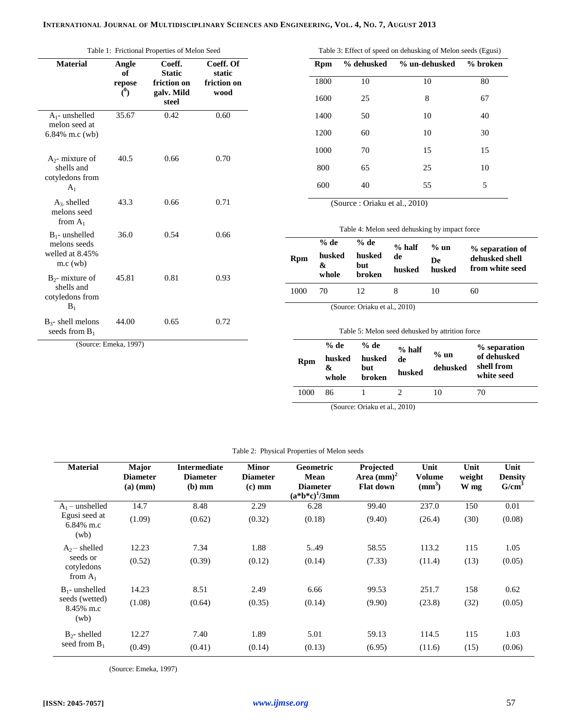| Table 1: Frictional Properties of Melon Seed                       |                                         |                                                        |                                            |  |  |  |  |  |
|--------------------------------------------------------------------|-----------------------------------------|--------------------------------------------------------|--------------------------------------------|--|--|--|--|--|
| <b>Material</b>                                                    | Angle<br>of<br>repose<br>$\binom{0}{0}$ | Coeff.<br>Static<br>friction on<br>galv. Mild<br>steel | Coeff. Of<br>static<br>friction on<br>wood |  |  |  |  |  |
| $A_1$ - unshelled<br>melon seed at<br>6.84% m.c (wb)               | 35.67                                   | 0.42                                                   | 0.60                                       |  |  |  |  |  |
| $A_2$ - mixture of<br>shells and<br>cotyledons from<br>$A_1$       | 40.5                                    | 0.66                                                   | 0.70                                       |  |  |  |  |  |
| $A_3$ shelled<br>melons seed<br>from $A_1$                         | 43.3                                    | 0.66                                                   | 0.71                                       |  |  |  |  |  |
| $B_1$ - unshelled<br>melons seeds<br>welled at 8.45%<br>$m.c$ (wb) | 36.0                                    | 0.54                                                   | 0.66                                       |  |  |  |  |  |
| $B_2$ - mixture of<br>shells and<br>cotyledons from<br>$B_1$       | 45.81                                   | 0.81                                                   | 0.93                                       |  |  |  |  |  |
| $B_3$ - shell melons<br>seeds from $B_1$                           | 44.00                                   | 0.65                                                   | 0.72                                       |  |  |  |  |  |
| (Source: Emeka, 1997)                                              |                                         |                                                        |                                            |  |  |  |  |  |

| Table 3: Effect of speed on dehusking of Melon seeds (Egusi) |            |               |          |  |  |  |
|--------------------------------------------------------------|------------|---------------|----------|--|--|--|
| Rpm                                                          | % dehusked | % un-dehusked | % broken |  |  |  |
| 1800                                                         | 10         | 10            | 80       |  |  |  |
| 1600                                                         | 25         | 8             | 67       |  |  |  |
| 1400                                                         | 50         | 10            | 40       |  |  |  |
| 1200                                                         | 60         | 10            | 30       |  |  |  |
| 1000                                                         | 70         | 15            | 15       |  |  |  |
| 800                                                          | 65         | 25            | 10       |  |  |  |
| 600                                                          | 40         | 55            | 5        |  |  |  |
|                                                              |            |               |          |  |  |  |

(Source : Oriaku et al., 2010)

| Table 4: Melon seed dehusking by impact force |                      |                         |              |              |                                                      |  |  |  |
|-----------------------------------------------|----------------------|-------------------------|--------------|--------------|------------------------------------------------------|--|--|--|
|                                               | $%$ de               | $%$ de                  | $%$ half     | $%$ un       |                                                      |  |  |  |
| <b>Rpm</b>                                    | husked<br>&<br>whole | husked<br>but<br>broken | de<br>husked | De<br>husked | % separation of<br>dehusked shell<br>from white seed |  |  |  |
|                                               |                      |                         |              |              |                                                      |  |  |  |

(Source: Oriaku et al., 2010)

Table 5: Melon seed dehusked by attrition force

| <b>Rpm</b> | $%$ de<br>husked<br>&<br>whole | % de<br>husked<br>but<br><b>broken</b> | $%$ half<br>de<br>husked | $%$ un<br>dehusked | % separation<br>of dehusked<br>shell from<br>white seed |
|------------|--------------------------------|----------------------------------------|--------------------------|--------------------|---------------------------------------------------------|
| 1000       | 86                             |                                        |                          | 10                 | 70                                                      |

(Source: Oriaku et al., 2010)

|  |  | Table 2: Physical Properties of Melon seeds |  |  |  |
|--|--|---------------------------------------------|--|--|--|
|--|--|---------------------------------------------|--|--|--|

| <b>Material</b>                      | Major<br><b>Diameter</b><br>$(a)$ (mm) | <b>Intermediate</b><br><b>Diameter</b><br>$(b)$ mm | <b>Minor</b><br><b>Diameter</b><br>$(c)$ mm | <b>Geometric</b><br><b>Mean</b><br><b>Diameter</b><br>$(a * b * c)^{1}/3mm$ | Projected<br>Area $(mm)^2$<br><b>Flat down</b> | Unit<br><b>Volume</b><br>$\text{mm}^3$ | Unit<br>weight<br>W mg | Unit<br><b>Density</b><br>G/cm <sup>3</sup> |
|--------------------------------------|----------------------------------------|----------------------------------------------------|---------------------------------------------|-----------------------------------------------------------------------------|------------------------------------------------|----------------------------------------|------------------------|---------------------------------------------|
| $A_1$ – unshelled                    | 14.7                                   | 8.48                                               | 2.29                                        | 6.28                                                                        | 99.40                                          | 237.0                                  | 150                    | 0.01                                        |
| Egusi seed at<br>6.84% m.c<br>(wb)   | (1.09)                                 | (0.62)                                             | (0.32)                                      | (0.18)                                                                      | (9.40)                                         | (26.4)                                 | (30)                   | (0.08)                                      |
| $A_2$ – shelled                      | 12.23                                  | 7.34                                               | 1.88                                        | 5.49                                                                        | 58.55                                          | 113.2                                  | 115                    | 1.05                                        |
| seeds or<br>cotyledons<br>from $A_1$ | (0.52)                                 | (0.39)                                             | (0.12)                                      | (0.14)                                                                      | (7.33)                                         | (11.4)                                 | (13)                   | (0.05)                                      |
| $B_1$ - unshelled                    | 14.23                                  | 8.51                                               | 2.49                                        | 6.66                                                                        | 99.53                                          | 251.7                                  | 158                    | 0.62                                        |
| seeds (wetted)<br>8.45% m.c<br>(wb)  | (1.08)                                 | (0.64)                                             | (0.35)                                      | (0.14)                                                                      | (9.90)                                         | (23.8)                                 | (32)                   | (0.05)                                      |
| $B_2$ - shelled                      | 12.27                                  | 7.40                                               | 1.89                                        | 5.01                                                                        | 59.13                                          | 114.5                                  | 115                    | 1.03                                        |
| seed from $B_1$                      | (0.49)                                 | (0.41)                                             | (0.14)                                      | (0.13)                                                                      | (6.95)                                         | (11.6)                                 | (15)                   | (0.06)                                      |

(Source: Emeka, 1997)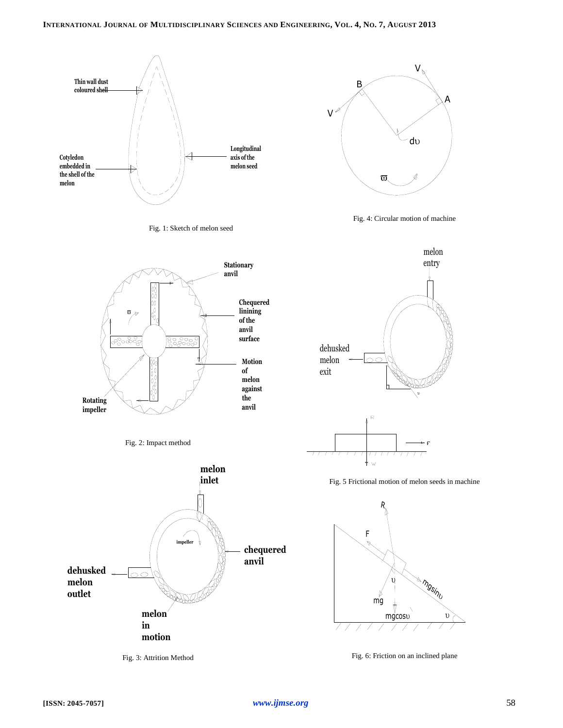





Fig. 4: Circular motion of machine







Fig. 3: Attrition Method





Fig. 5 Frictional motion of melon seeds in machine



Fig. 6: Friction on an inclined plane